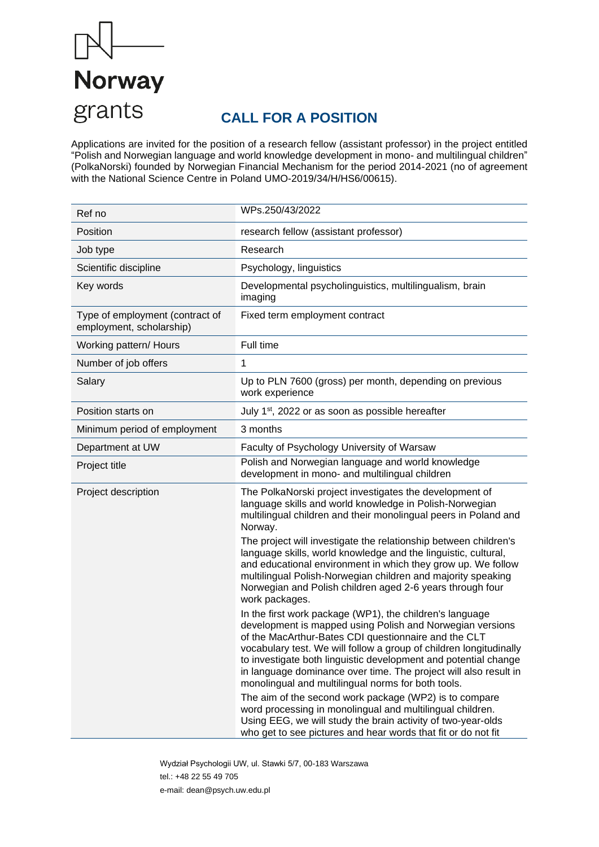

# **CALL FOR A POSITION**

Applications are invited for the position of a research fellow (assistant professor) in the project entitled "Polish and Norwegian language and world knowledge development in mono- and multilingual children" (PolkaNorski) founded by Norwegian Financial Mechanism for the period 2014-2021 (no of agreement with the National Science Centre in Poland UMO-2019/34/H/HS6/00615).

| Ref no                                                      | WPs.250/43/2022                                                                                                                                                                                                                                                                                                                                                                                                                                  |
|-------------------------------------------------------------|--------------------------------------------------------------------------------------------------------------------------------------------------------------------------------------------------------------------------------------------------------------------------------------------------------------------------------------------------------------------------------------------------------------------------------------------------|
| Position                                                    | research fellow (assistant professor)                                                                                                                                                                                                                                                                                                                                                                                                            |
| Job type                                                    | Research                                                                                                                                                                                                                                                                                                                                                                                                                                         |
| Scientific discipline                                       | Psychology, linguistics                                                                                                                                                                                                                                                                                                                                                                                                                          |
| Key words                                                   | Developmental psycholinguistics, multilingualism, brain<br>imaging                                                                                                                                                                                                                                                                                                                                                                               |
| Type of employment (contract of<br>employment, scholarship) | Fixed term employment contract                                                                                                                                                                                                                                                                                                                                                                                                                   |
| Working pattern/ Hours                                      | Full time                                                                                                                                                                                                                                                                                                                                                                                                                                        |
| Number of job offers                                        | 1                                                                                                                                                                                                                                                                                                                                                                                                                                                |
| Salary                                                      | Up to PLN 7600 (gross) per month, depending on previous<br>work experience                                                                                                                                                                                                                                                                                                                                                                       |
| Position starts on                                          | July 1 <sup>st</sup> , 2022 or as soon as possible hereafter                                                                                                                                                                                                                                                                                                                                                                                     |
| Minimum period of employment                                | 3 months                                                                                                                                                                                                                                                                                                                                                                                                                                         |
| Department at UW                                            | Faculty of Psychology University of Warsaw                                                                                                                                                                                                                                                                                                                                                                                                       |
| Project title                                               | Polish and Norwegian language and world knowledge<br>development in mono- and multilingual children                                                                                                                                                                                                                                                                                                                                              |
| Project description                                         | The PolkaNorski project investigates the development of<br>language skills and world knowledge in Polish-Norwegian<br>multilingual children and their monolingual peers in Poland and<br>Norway.                                                                                                                                                                                                                                                 |
|                                                             | The project will investigate the relationship between children's<br>language skills, world knowledge and the linguistic, cultural,<br>and educational environment in which they grow up. We follow<br>multilingual Polish-Norwegian children and majority speaking<br>Norwegian and Polish children aged 2-6 years through four<br>work packages.                                                                                                |
|                                                             | In the first work package (WP1), the children's language<br>development is mapped using Polish and Norwegian versions<br>of the MacArthur-Bates CDI questionnaire and the CLT<br>vocabulary test. We will follow a group of children longitudinally<br>to investigate both linguistic development and potential change<br>in language dominance over time. The project will also result in<br>monolingual and multilingual norms for both tools. |
|                                                             | The aim of the second work package (WP2) is to compare<br>word processing in monolingual and multilingual children.<br>Using EEG, we will study the brain activity of two-year-olds<br>who get to see pictures and hear words that fit or do not fit                                                                                                                                                                                             |

Wydział Psychologii UW, ul. Stawki 5/7, 00-183 Warszawa tel.: +48 22 55 49 705 e-mail: dean@psych.uw.edu.pl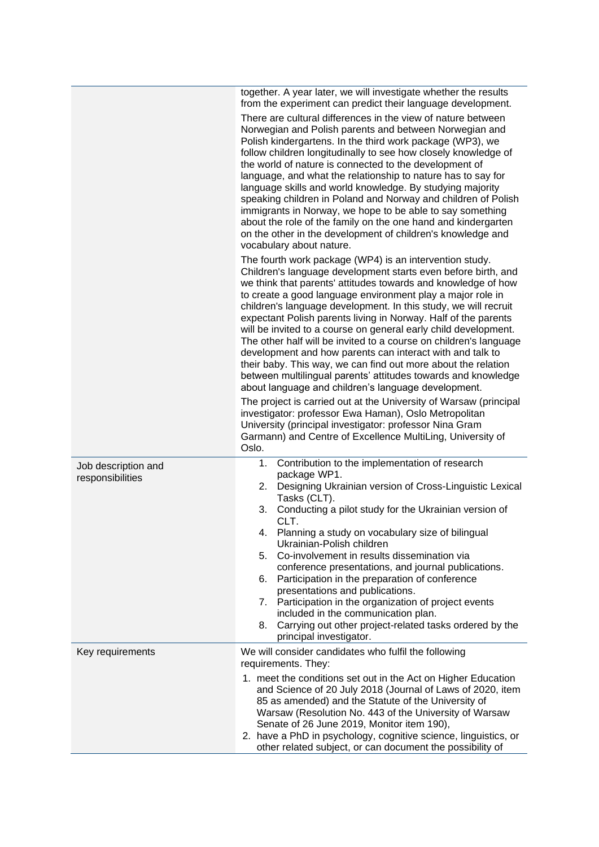|                                         | together. A year later, we will investigate whether the results<br>from the experiment can predict their language development.<br>There are cultural differences in the view of nature between<br>Norwegian and Polish parents and between Norwegian and<br>Polish kindergartens. In the third work package (WP3), we<br>follow children longitudinally to see how closely knowledge of<br>the world of nature is connected to the development of<br>language, and what the relationship to nature has to say for<br>language skills and world knowledge. By studying majority<br>speaking children in Poland and Norway and children of Polish<br>immigrants in Norway, we hope to be able to say something<br>about the role of the family on the one hand and kindergarten<br>on the other in the development of children's knowledge and<br>vocabulary about nature.<br>The fourth work package (WP4) is an intervention study.<br>Children's language development starts even before birth, and<br>we think that parents' attitudes towards and knowledge of how<br>to create a good language environment play a major role in<br>children's language development. In this study, we will recruit<br>expectant Polish parents living in Norway. Half of the parents<br>will be invited to a course on general early child development.<br>The other half will be invited to a course on children's language<br>development and how parents can interact with and talk to<br>their baby. This way, we can find out more about the relation<br>between multilingual parents' attitudes towards and knowledge<br>about language and children's language development.<br>The project is carried out at the University of Warsaw (principal |
|-----------------------------------------|---------------------------------------------------------------------------------------------------------------------------------------------------------------------------------------------------------------------------------------------------------------------------------------------------------------------------------------------------------------------------------------------------------------------------------------------------------------------------------------------------------------------------------------------------------------------------------------------------------------------------------------------------------------------------------------------------------------------------------------------------------------------------------------------------------------------------------------------------------------------------------------------------------------------------------------------------------------------------------------------------------------------------------------------------------------------------------------------------------------------------------------------------------------------------------------------------------------------------------------------------------------------------------------------------------------------------------------------------------------------------------------------------------------------------------------------------------------------------------------------------------------------------------------------------------------------------------------------------------------------------------------------------------------------------------------------------------------------------------------------|
|                                         | investigator: professor Ewa Haman), Oslo Metropolitan<br>University (principal investigator: professor Nina Gram<br>Garmann) and Centre of Excellence MultiLing, University of<br>Oslo.                                                                                                                                                                                                                                                                                                                                                                                                                                                                                                                                                                                                                                                                                                                                                                                                                                                                                                                                                                                                                                                                                                                                                                                                                                                                                                                                                                                                                                                                                                                                                     |
| Job description and<br>responsibilities | 1.<br>Contribution to the implementation of research<br>package WP1.<br>Designing Ukrainian version of Cross-Linguistic Lexical<br>2.<br>Tasks (CLT).<br>3.<br>Conducting a pilot study for the Ukrainian version of<br>CLT.<br>Planning a study on vocabulary size of bilingual<br>4.<br>Ukrainian-Polish children<br>Co-involvement in results dissemination via<br>5.<br>conference presentations, and journal publications.<br>Participation in the preparation of conference<br>6.<br>presentations and publications.<br>Participation in the organization of project events<br>7.<br>included in the communication plan.<br>Carrying out other project-related tasks ordered by the<br>8.<br>principal investigator.                                                                                                                                                                                                                                                                                                                                                                                                                                                                                                                                                                                                                                                                                                                                                                                                                                                                                                                                                                                                                  |
| Key requirements                        | We will consider candidates who fulfil the following<br>requirements. They:<br>1. meet the conditions set out in the Act on Higher Education<br>and Science of 20 July 2018 (Journal of Laws of 2020, item<br>85 as amended) and the Statute of the University of<br>Warsaw (Resolution No. 443 of the University of Warsaw<br>Senate of 26 June 2019, Monitor item 190),<br>2. have a PhD in psychology, cognitive science, linguistics, or<br>other related subject, or can document the possibility of                                                                                                                                                                                                                                                                                                                                                                                                                                                                                                                                                                                                                                                                                                                                                                                                                                                                                                                                                                                                                                                                                                                                                                                                                                   |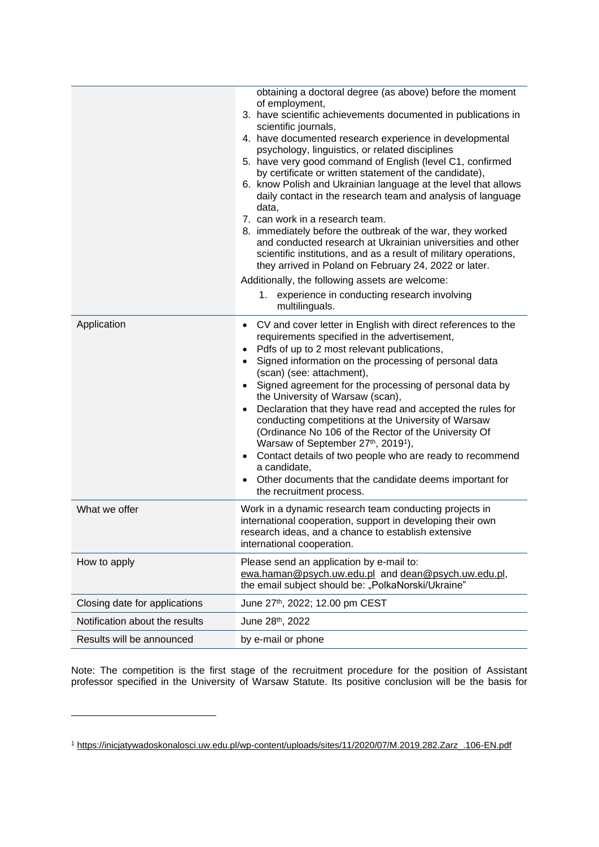|                                | obtaining a doctoral degree (as above) before the moment<br>of employment,<br>3. have scientific achievements documented in publications in<br>scientific journals,<br>4. have documented research experience in developmental<br>psychology, linguistics, or related disciplines<br>5. have very good command of English (level C1, confirmed<br>by certificate or written statement of the candidate),<br>6. know Polish and Ukrainian language at the level that allows<br>daily contact in the research team and analysis of language<br>data,<br>7. can work in a research team.<br>8. immediately before the outbreak of the war, they worked<br>and conducted research at Ukrainian universities and other<br>scientific institutions, and as a result of military operations,<br>they arrived in Poland on February 24, 2022 or later.<br>Additionally, the following assets are welcome:<br>1.<br>experience in conducting research involving<br>multilinguals. |
|--------------------------------|--------------------------------------------------------------------------------------------------------------------------------------------------------------------------------------------------------------------------------------------------------------------------------------------------------------------------------------------------------------------------------------------------------------------------------------------------------------------------------------------------------------------------------------------------------------------------------------------------------------------------------------------------------------------------------------------------------------------------------------------------------------------------------------------------------------------------------------------------------------------------------------------------------------------------------------------------------------------------|
| Application                    | CV and cover letter in English with direct references to the<br>$\bullet$<br>requirements specified in the advertisement,<br>Pdfs of up to 2 most relevant publications,<br>$\bullet$<br>Signed information on the processing of personal data<br>$\bullet$<br>(scan) (see: attachment),<br>Signed agreement for the processing of personal data by<br>$\bullet$<br>the University of Warsaw (scan),<br>Declaration that they have read and accepted the rules for<br>conducting competitions at the University of Warsaw<br>(Ordinance No 106 of the Rector of the University Of<br>Warsaw of September 27th, 2019 <sup>1</sup> ),<br>Contact details of two people who are ready to recommend<br>$\bullet$<br>a candidate,<br>Other documents that the candidate deems important for<br>the recruitment process.                                                                                                                                                       |
| What we offer                  | Work in a dynamic research team conducting projects in<br>international cooperation, support in developing their own<br>research ideas, and a chance to establish extensive<br>international cooperation.                                                                                                                                                                                                                                                                                                                                                                                                                                                                                                                                                                                                                                                                                                                                                                |
| How to apply                   | Please send an application by e-mail to:<br>ewa.haman@psych.uw.edu.pl and dean@psych.uw.edu.pl,<br>the email subject should be: "PolkaNorski/Ukraine"                                                                                                                                                                                                                                                                                                                                                                                                                                                                                                                                                                                                                                                                                                                                                                                                                    |
| Closing date for applications  | June 27th, 2022; 12.00 pm CEST                                                                                                                                                                                                                                                                                                                                                                                                                                                                                                                                                                                                                                                                                                                                                                                                                                                                                                                                           |
| Notification about the results | June 28th, 2022                                                                                                                                                                                                                                                                                                                                                                                                                                                                                                                                                                                                                                                                                                                                                                                                                                                                                                                                                          |
| Results will be announced      | by e-mail or phone                                                                                                                                                                                                                                                                                                                                                                                                                                                                                                                                                                                                                                                                                                                                                                                                                                                                                                                                                       |

Note: The competition is the first stage of the recruitment procedure for the position of Assistant professor specified in the University of Warsaw Statute. Its positive conclusion will be the basis for

<sup>1</sup> [https://inicjatywadoskonalosci.uw.edu.pl/wp-content/uploads/sites/11/2020/07/M.2019.282.Zarz\\_.106-EN.pdf](https://inicjatywadoskonalosci.uw.edu.pl/wp-content/uploads/sites/11/2020/07/M.2019.282.Zarz_.106-EN.pdf)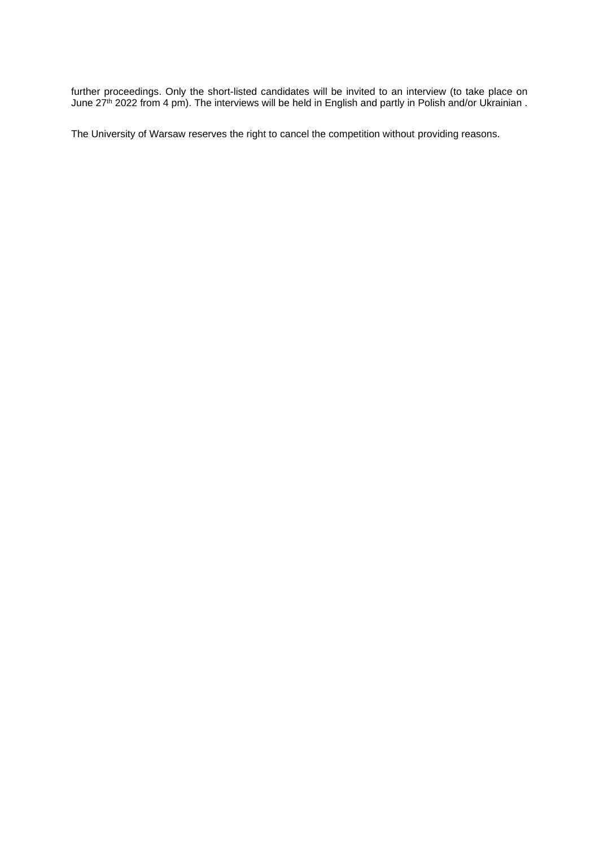further proceedings. Only the short-listed candidates will be invited to an interview (to take place on June 27<sup>th</sup> 2022 from 4 pm). The interviews will be held in English and partly in Polish and/or Ukrainian.

The University of Warsaw reserves the right to cancel the competition without providing reasons.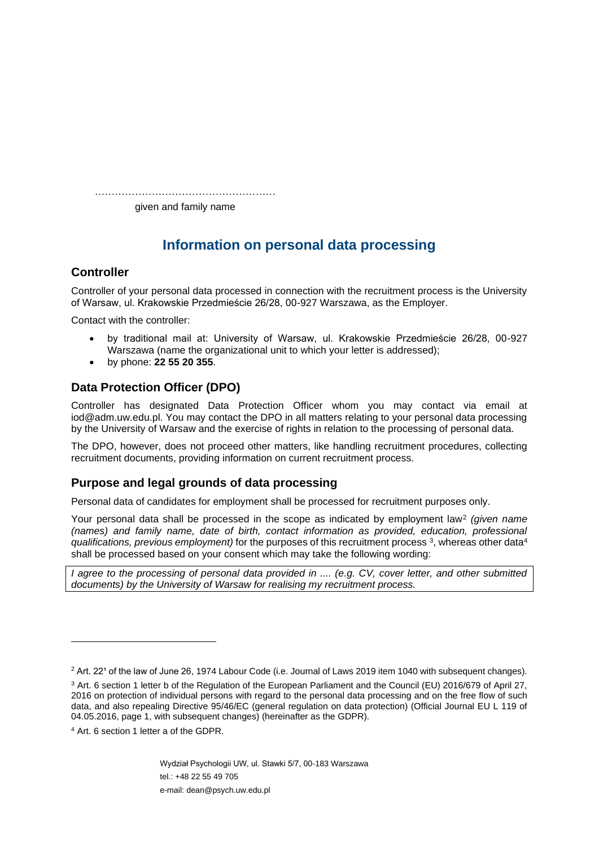……………………………………………………… given and family name

# **Information on personal data processing**

## **Controller**

Controller of your personal data processed in connection with the recruitment process is the University of Warsaw, ul. Krakowskie Przedmieście 26/28, 00-927 Warszawa, as the Employer.

Contact with the controller:

- by traditional mail at: University of Warsaw, ul. Krakowskie Przedmieście 26/28, 00-927 Warszawa (name the organizational unit to which your letter is addressed);
- by phone: **22 55 20 355**.

## **Data Protection Officer (DPO)**

Controller has designated Data Protection Officer whom you may contact via email at iod@adm.uw.edu.pl. You may contact the DPO in all matters relating to your personal data processing by the University of Warsaw and the exercise of rights in relation to the processing of personal data.

The DPO, however, does not proceed other matters, like handling recruitment procedures, collecting recruitment documents, providing information on current recruitment process.

## **Purpose and legal grounds of data processing**

Personal data of candidates for employment shall be processed for recruitment purposes only.

Your personal data shall be processed in the scope as indicated by employment law<sup>2</sup> (given name *(names) and family name, date of birth, contact information as provided, education, professional qualifications, previous employment)* for the purposes of this recruitment process <sup>3</sup> , whereas other data<sup>4</sup> shall be processed based on your consent which may take the following wording:

*I agree to the processing of personal data provided in .... (e.g. CV, cover letter, and other submitted documents) by the University of Warsaw for realising my recruitment process.*

Wydział Psychologii UW, ul. Stawki 5/7, 00-183 Warszawa tel.: +48 22 55 49 705 e-mail: dean@psych.uw.edu.pl

<sup>&</sup>lt;sup>2</sup> Art. 22<sup>*'*</sup> of the law of June 26, 1974 Labour Code (i.e. Journal of Laws 2019 item 1040 with subsequent changes).

<sup>3</sup> Art. 6 section 1 letter b of the Regulation of the European Parliament and the Council (EU) 2016/679 of April 27, 2016 on protection of individual persons with regard to the personal data processing and on the free flow of such data, and also repealing Directive 95/46/EC (general regulation on data protection) (Official Journal EU L 119 of 04.05.2016, page 1, with subsequent changes) (hereinafter as the GDPR).

<sup>4</sup> Art. 6 section 1 letter a of the GDPR.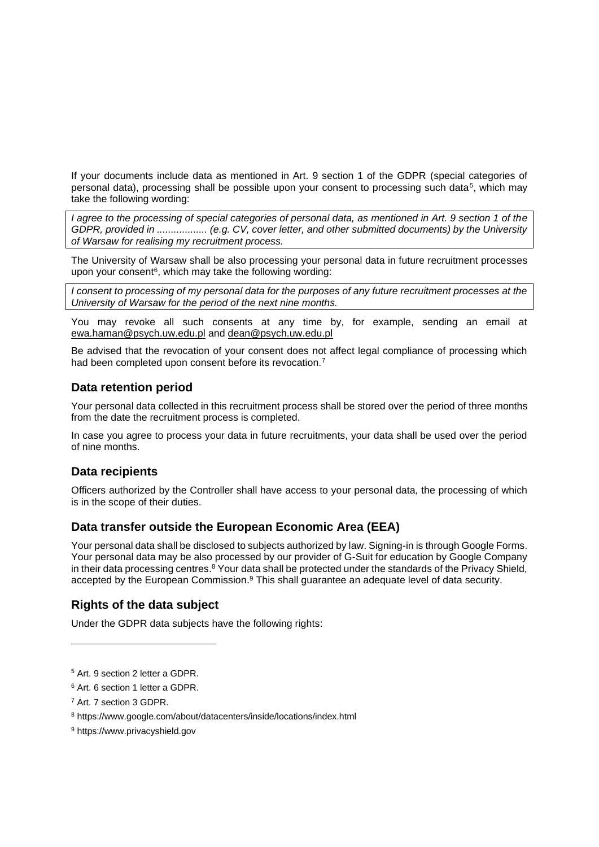If your documents include data as mentioned in Art. 9 section 1 of the GDPR (special categories of personal data), processing shall be possible upon your consent to processing such data<sup>5</sup>, which may take the following wording:

*I agree to the processing of special categories of personal data, as mentioned in Art. 9 section 1 of the GDPR, provided in .................. (e.g. CV, cover letter, and other submitted documents) by the University of Warsaw for realising my recruitment process.*

The University of Warsaw shall be also processing your personal data in future recruitment processes upon your consent<sup>6</sup>, which may take the following wording:

*I consent to processing of my personal data for the purposes of any future recruitment processes at the University of Warsaw for the period of the next nine months.*

You may revoke all such consents at any time by, for example, sending an email at [ewa.haman@psych.uw.edu.pl](mailto:ewa.haman@psych.uw.edu.pl) and [dean@psych.uw.edu.pl](mailto:dean@psych.uw.edu.pl)

Be advised that the revocation of your consent does not affect legal compliance of processing which had been completed upon consent before its revocation.<sup>7</sup>

### **Data retention period**

Your personal data collected in this recruitment process shall be stored over the period of three months from the date the recruitment process is completed.

In case you agree to process your data in future recruitments, your data shall be used over the period of nine months.

#### **Data recipients**

Officers authorized by the Controller shall have access to your personal data, the processing of which is in the scope of their duties.

#### **Data transfer outside the European Economic Area (EEA)**

Your personal data shall be disclosed to subjects authorized by law. Signing-in is through Google Forms. Your personal data may be also processed by our provider of G-Suit for education by Google Company in their data processing centres.<sup>8</sup> Your data shall be protected under the standards of the Privacy Shield, accepted by the European Commission.<sup>9</sup> This shall guarantee an adequate level of data security.

## **Rights of the data subject**

Under the GDPR data subjects have the following rights:

<sup>6</sup> Art. 6 section 1 letter a GDPR.

<sup>5</sup> Art. 9 section 2 letter a GDPR.

<sup>7</sup> Art. 7 section 3 GDPR.

<sup>8</sup> https://www.google.com/about/datacenters/inside/locations/index.html

<sup>9</sup> https://www.privacyshield.gov